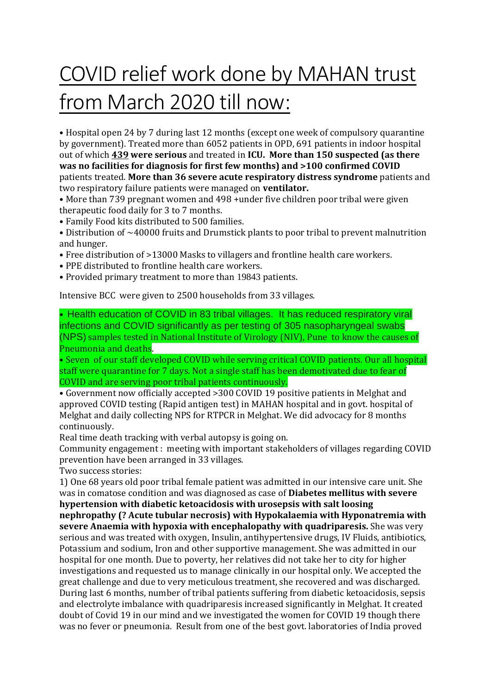## COVID relief work done by MAHAN trust from March 2020 till now:

• Hospital open 24 by 7 during last 12 months (except one week of compulsory quarantine by government). Treated more than 6052 patients in OPD, 691 patients in indoor hospital out of which **439 were serious** and treated in **ICU. More than 150 suspected (as there was no facilities for diagnosis for first few months) and >100 confirmed COVID** patients treated. **More than 36 severe acute respiratory distress syndrome** patients and two respiratory failure patients were managed on **ventilator.**

• More than 739 pregnant women and 498 +under five children poor tribal were given therapeutic food daily for 3 to 7 months.

• Family Food kits distributed to 500 families.

• Distribution of ~40000 fruits and Drumstick plants to poor tribal to prevent malnutrition and hunger.

- Free distribution of >13000 Masks to villagers and frontline health care workers.
- PPE distributed to frontline health care workers.
- Provided primary treatment to more than 19843 patients.

Intensive BCC were given to 2500 households from 33 villages.

• Health education of COVID in 83 tribal villages. It has reduced respiratory viral infections and COVID significantly as per testing of 305 nasopharyngeal swabs (NPS) samples tested in National Institute of Virology (NIV), Pune to know the causes of Pneumonia and deaths.

• Seven of our staff developed COVID while serving critical COVID patients. Our all hospital staff were quarantine for 7 days. Not a single staff has been demotivated due to fear of COVID and are serving poor tribal patients continuously.

• Government now officially accepted >300 COVID 19 positive patients in Melghat and approved COVID testing (Rapid antigen test) in MAHAN hospital and in govt. hospital of Melghat and daily collecting NPS for RTPCR in Melghat. We did advocacy for 8 months continuously.

Real time death tracking with verbal autopsy is going on.

Community engagement : meeting with important stakeholders of villages regarding COVID prevention have been arranged in 33 villages.

Two success stories:

1) One 68 years old poor tribal female patient was admitted in our intensive care unit. She was in comatose condition and was diagnosed as case of **Diabetes mellitus with severe hypertension with diabetic ketoacidosis with urosepsis with salt loosing nephropathy (? Acute tubular necrosis) with Hypokalaemia with Hyponatremia with severe Anaemia with hypoxia with encephalopathy with quadriparesis.** She was very serious and was treated with oxygen, Insulin, antihypertensive drugs, IV Fluids, antibiotics, Potassium and sodium, Iron and other supportive management. She was admitted in our hospital for one month. Due to poverty, her relatives did not take her to city for higher investigations and requested us to manage clinically in our hospital only. We accepted the great challenge and due to very meticulous treatment, she recovered and was discharged. During last 6 months, number of tribal patients suffering from diabetic ketoacidosis, sepsis and electrolyte imbalance with quadriparesis increased significantly in Melghat. It created doubt of Covid 19 in our mind and we investigated the women for COVID 19 though there was no fever or pneumonia. Result from one of the best govt. laboratories of India proved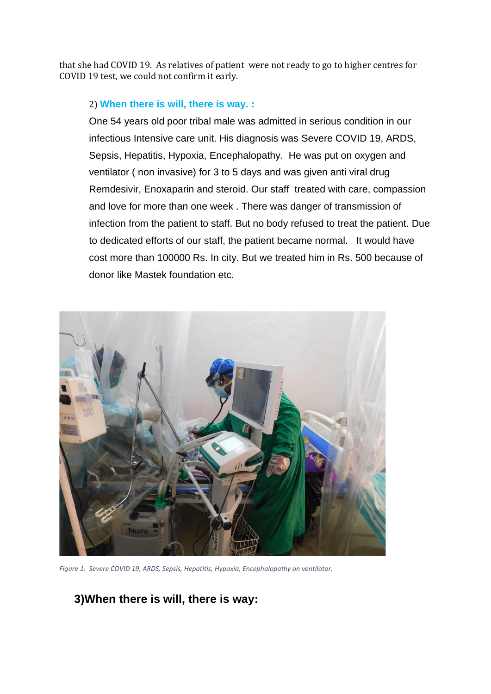that she had COVID 19. As relatives of patient were not ready to go to higher centres for COVID 19 test, we could not confirm it early.

## 2) **When there is will, there is way. :**

One 54 years old poor tribal male was admitted in serious condition in our infectious Intensive care unit. His diagnosis was Severe COVID 19, ARDS, Sepsis, Hepatitis, Hypoxia, Encephalopathy. He was put on oxygen and ventilator ( non invasive) for 3 to 5 days and was given anti viral drug Remdesivir, Enoxaparin and steroid. Our staff treated with care, compassion and love for more than one week . There was danger of transmission of infection from the patient to staff. But no body refused to treat the patient. Due to dedicated efforts of our staff, the patient became normal. It would have cost more than 100000 Rs. In city. But we treated him in Rs. 500 because of donor like Mastek foundation etc.



*Figure 1: Severe COVID 19, ARDS, Sepsis, Hepatitis, Hypoxia, Encephalopathy on ventilator.*

## **3)When there is will, there is way:**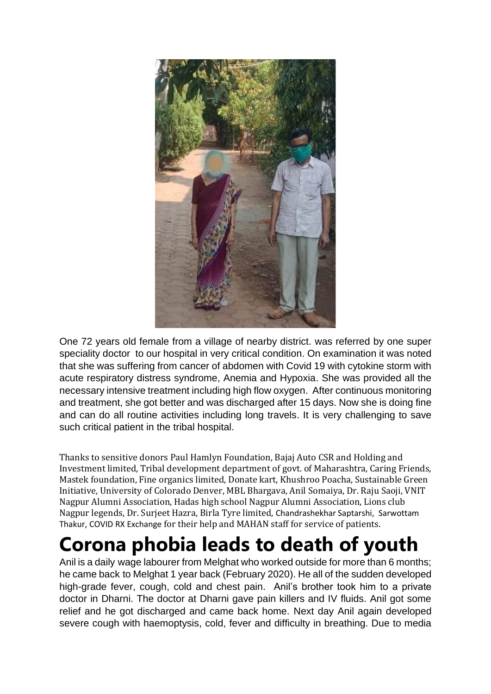

One 72 years old female from a village of nearby district. was referred by one super speciality doctor to our hospital in very critical condition. On examination it was noted that she was suffering from cancer of abdomen with Covid 19 with cytokine storm with acute respiratory distress syndrome, Anemia and Hypoxia. She was provided all the necessary intensive treatment including high flow oxygen. After continuous monitoring and treatment, she got better and was discharged after 15 days. Now she is doing fine and can do all routine activities including long travels. It is very challenging to save such critical patient in the tribal hospital.

Thanks to sensitive donors Paul Hamlyn Foundation, Bajaj Auto CSR and Holding and Investment limited, Tribal development department of govt. of Maharashtra, Caring Friends, Mastek foundation, Fine organics limited, Donate kart, Khushroo Poacha, Sustainable Green Initiative, University of Colorado Denver, MBL Bhargava, Anil Somaiya, Dr. Raju Saoji, VNIT Nagpur Alumni Association, Hadas high school Nagpur Alumni Association, Lions club Nagpur legends, Dr. Surjeet Hazra, Birla Tyre limited, Chandrashekhar Saptarshi, Sarwottam Thakur, COVID RX Exchange for their help and MAHAN staff for service of patients.

## **Corona phobia leads to death of youth**

Anil is a daily wage labourer from Melghat who worked outside for more than 6 months; he came back to Melghat 1 year back (February 2020). He all of the sudden developed high-grade fever, cough, cold and chest pain. Anil's brother took him to a private doctor in Dharni. The doctor at Dharni gave pain killers and IV fluids. Anil got some relief and he got discharged and came back home. Next day Anil again developed severe cough with haemoptysis, cold, fever and difficulty in breathing. Due to media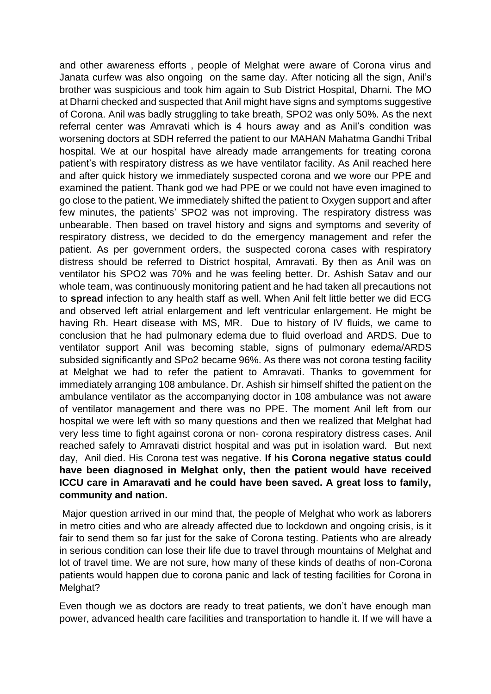and other awareness efforts , people of Melghat were aware of Corona virus and Janata curfew was also ongoing on the same day. After noticing all the sign, Anil's brother was suspicious and took him again to Sub District Hospital, Dharni. The MO at Dharni checked and suspected that Anil might have signs and symptoms suggestive of Corona. Anil was badly struggling to take breath, SPO2 was only 50%. As the next referral center was Amravati which is 4 hours away and as Anil's condition was worsening doctors at SDH referred the patient to our MAHAN Mahatma Gandhi Tribal hospital. We at our hospital have already made arrangements for treating corona patient's with respiratory distress as we have ventilator facility. As Anil reached here and after quick history we immediately suspected corona and we wore our PPE and examined the patient. Thank god we had PPE or we could not have even imagined to go close to the patient. We immediately shifted the patient to Oxygen support and after few minutes, the patients' SPO2 was not improving. The respiratory distress was unbearable. Then based on travel history and signs and symptoms and severity of respiratory distress, we decided to do the emergency management and refer the patient. As per government orders, the suspected corona cases with respiratory distress should be referred to District hospital, Amravati. By then as Anil was on ventilator his SPO2 was 70% and he was feeling better. Dr. Ashish Satav and our whole team, was continuously monitoring patient and he had taken all precautions not to **spread** infection to any health staff as well. When Anil felt little better we did ECG and observed left atrial enlargement and left ventricular enlargement. He might be having Rh. Heart disease with MS, MR. Due to history of IV fluids, we came to conclusion that he had pulmonary edema due to fluid overload and ARDS. Due to ventilator support Anil was becoming stable, signs of pulmonary edema/ARDS subsided significantly and SPo2 became 96%. As there was not corona testing facility at Melghat we had to refer the patient to Amravati. Thanks to government for immediately arranging 108 ambulance. Dr. Ashish sir himself shifted the patient on the ambulance ventilator as the accompanying doctor in 108 ambulance was not aware of ventilator management and there was no PPE. The moment Anil left from our hospital we were left with so many questions and then we realized that Melghat had very less time to fight against corona or non- corona respiratory distress cases. Anil reached safely to Amravati district hospital and was put in isolation ward. But next day, Anil died. His Corona test was negative. **If his Corona negative status could have been diagnosed in Melghat only, then the patient would have received ICCU care in Amaravati and he could have been saved. A great loss to family, community and nation.**

Major question arrived in our mind that, the people of Melghat who work as laborers in metro cities and who are already affected due to lockdown and ongoing crisis, is it fair to send them so far just for the sake of Corona testing. Patients who are already in serious condition can lose their life due to travel through mountains of Melghat and lot of travel time. We are not sure, how many of these kinds of deaths of non-Corona patients would happen due to corona panic and lack of testing facilities for Corona in Melghat?

Even though we as doctors are ready to treat patients, we don't have enough man power, advanced health care facilities and transportation to handle it. If we will have a